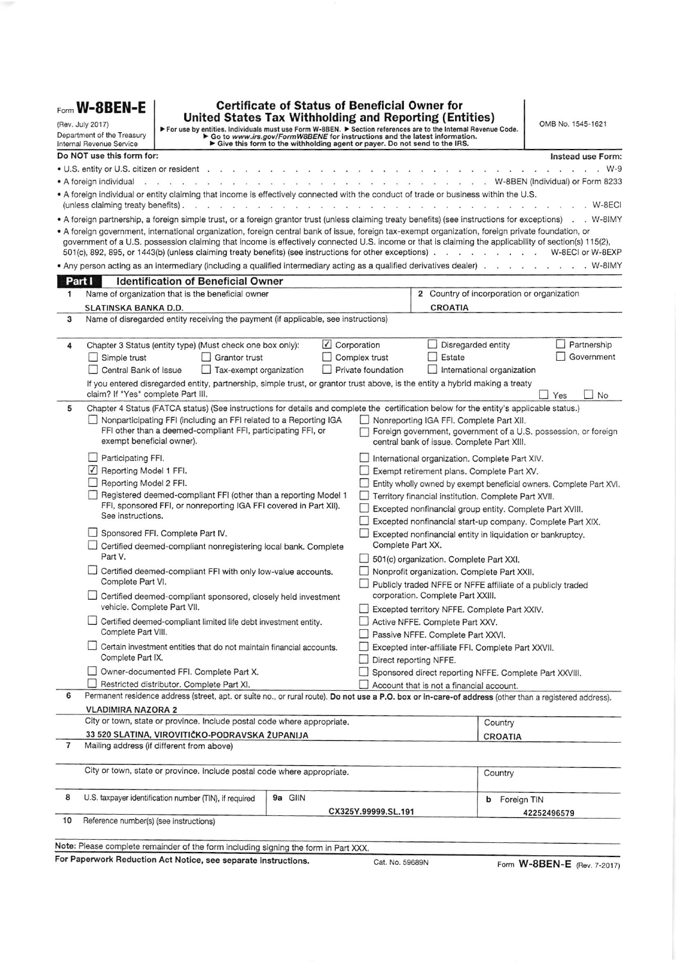| United States Tax Withholding and Reporting (Entities)<br>(Rev. July 2017)<br>For use by entities. Individuals must use Form W-8BEN. $\triangleright$ Section references are to the Internal Revenue Code.<br>$\triangleright$ Go to www.irs.gov/FormW8BENE for instructions and the latest information.<br>$\triangleright$ Give this form t<br>Department of the Treasury<br>Internal Revenue Service |                                                                                                                                      |                                                                                                                           |                                     |                     |                                                                                                                                                                                                                                                                                                                                                                                                                                        | OMB No. 1545-1621                    |  |
|---------------------------------------------------------------------------------------------------------------------------------------------------------------------------------------------------------------------------------------------------------------------------------------------------------------------------------------------------------------------------------------------------------|--------------------------------------------------------------------------------------------------------------------------------------|---------------------------------------------------------------------------------------------------------------------------|-------------------------------------|---------------------|----------------------------------------------------------------------------------------------------------------------------------------------------------------------------------------------------------------------------------------------------------------------------------------------------------------------------------------------------------------------------------------------------------------------------------------|--------------------------------------|--|
|                                                                                                                                                                                                                                                                                                                                                                                                         | Do NOT use this form for:                                                                                                            |                                                                                                                           |                                     |                     |                                                                                                                                                                                                                                                                                                                                                                                                                                        | Instead use Form:                    |  |
|                                                                                                                                                                                                                                                                                                                                                                                                         |                                                                                                                                      | • U.S. entity or U.S. citizen or resident                                                                                 |                                     |                     |                                                                                                                                                                                                                                                                                                                                                                                                                                        | . W-9                                |  |
|                                                                                                                                                                                                                                                                                                                                                                                                         | $\bullet$ A foreign individual $\cdot$ $\cdot$ $\cdot$ $\cdot$ $\cdot$                                                               |                                                                                                                           |                                     |                     |                                                                                                                                                                                                                                                                                                                                                                                                                                        | . . W-8BEN (Individual) or Form 8233 |  |
|                                                                                                                                                                                                                                                                                                                                                                                                         |                                                                                                                                      |                                                                                                                           |                                     |                     | . A foreign individual or entity claiming that income is effectively connected with the conduct of trade or business within the U.S.                                                                                                                                                                                                                                                                                                   | W-8ECI                               |  |
|                                                                                                                                                                                                                                                                                                                                                                                                         | (unless claiming treaty benefits).                                                                                                   |                                                                                                                           | and a substantial and a substantial |                     | . A foreign partnership, a foreign simple trust, or a foreign grantor trust (unless claiming treaty benefits) (see instructions for exceptions) . W-8IMY                                                                                                                                                                                                                                                                               |                                      |  |
|                                                                                                                                                                                                                                                                                                                                                                                                         |                                                                                                                                      |                                                                                                                           |                                     |                     | • A foreign government, international organization, foreign central bank of issue, foreign tax-exempt organization, foreign private foundation, or<br>government of a U.S. possession claiming that income is effectively connected U.S. income or that is claiming the applicability of section(s) 115(2),<br>501(c), 892, 895, or 1443(b) (unless claiming treaty benefits) (see instructions for other exceptions) W-8ECI or W-8EXP |                                      |  |
| Part I                                                                                                                                                                                                                                                                                                                                                                                                  |                                                                                                                                      | <b>Identification of Beneficial Owner</b>                                                                                 |                                     |                     |                                                                                                                                                                                                                                                                                                                                                                                                                                        |                                      |  |
| 1                                                                                                                                                                                                                                                                                                                                                                                                       |                                                                                                                                      | Name of organization that is the beneficial owner                                                                         |                                     |                     | 2 Country of incorporation or organization                                                                                                                                                                                                                                                                                                                                                                                             |                                      |  |
| SLATINSKA BANKA D.D.                                                                                                                                                                                                                                                                                                                                                                                    |                                                                                                                                      |                                                                                                                           |                                     |                     | <b>CROATIA</b>                                                                                                                                                                                                                                                                                                                                                                                                                         |                                      |  |
| з                                                                                                                                                                                                                                                                                                                                                                                                       |                                                                                                                                      | Name of disregarded entity receiving the payment (if applicable, see instructions)                                        |                                     |                     |                                                                                                                                                                                                                                                                                                                                                                                                                                        |                                      |  |
|                                                                                                                                                                                                                                                                                                                                                                                                         |                                                                                                                                      |                                                                                                                           |                                     |                     |                                                                                                                                                                                                                                                                                                                                                                                                                                        |                                      |  |
| 4                                                                                                                                                                                                                                                                                                                                                                                                       |                                                                                                                                      | Chapter 3 Status (entity type) (Must check one box only):                                                                 |                                     | ✔ Corporation       | Disregarded entity                                                                                                                                                                                                                                                                                                                                                                                                                     | Partnership                          |  |
|                                                                                                                                                                                                                                                                                                                                                                                                         | $\Box$ Simple trust                                                                                                                  | Grantor trust                                                                                                             |                                     | Complex trust       | Estate                                                                                                                                                                                                                                                                                                                                                                                                                                 | Government                           |  |
|                                                                                                                                                                                                                                                                                                                                                                                                         | Central Bank of Issue                                                                                                                | Tax-exempt organization                                                                                                   |                                     | Private foundation  | International organization                                                                                                                                                                                                                                                                                                                                                                                                             |                                      |  |
|                                                                                                                                                                                                                                                                                                                                                                                                         | claim? If "Yes" complete Part III.                                                                                                   |                                                                                                                           |                                     |                     | If you entered disregarded entity, partnership, simple trust, or grantor trust above, is the entity a hybrid making a treaty                                                                                                                                                                                                                                                                                                           | Yes<br>H<br>No                       |  |
| 5                                                                                                                                                                                                                                                                                                                                                                                                       |                                                                                                                                      |                                                                                                                           |                                     |                     | Chapter 4 Status (FATCA status) (See instructions for details and complete the certification below for the entity's applicable status.)                                                                                                                                                                                                                                                                                                |                                      |  |
|                                                                                                                                                                                                                                                                                                                                                                                                         |                                                                                                                                      | Nonparticipating FFI (including an FFI related to a Reporting IGA                                                         |                                     |                     | Nonreporting IGA FFI. Complete Part XII.                                                                                                                                                                                                                                                                                                                                                                                               |                                      |  |
|                                                                                                                                                                                                                                                                                                                                                                                                         | exempt beneficial owner).                                                                                                            | FFI other than a deemed-compliant FFI, participating FFI, or                                                              |                                     |                     | Foreign government, government of a U.S. possession, or foreign<br>central bank of issue. Complete Part XIII.                                                                                                                                                                                                                                                                                                                          |                                      |  |
|                                                                                                                                                                                                                                                                                                                                                                                                         | $\Box$ Participating FFI.                                                                                                            |                                                                                                                           |                                     |                     | International organization. Complete Part XIV.                                                                                                                                                                                                                                                                                                                                                                                         |                                      |  |
|                                                                                                                                                                                                                                                                                                                                                                                                         | Reporting Model 1 FFI.                                                                                                               |                                                                                                                           |                                     |                     | Exempt retirement plans. Complete Part XV.                                                                                                                                                                                                                                                                                                                                                                                             |                                      |  |
| $\Box$                                                                                                                                                                                                                                                                                                                                                                                                  | Reporting Model 2 FFI.                                                                                                               |                                                                                                                           |                                     |                     | Entity wholly owned by exempt beneficial owners. Complete Part XVI.                                                                                                                                                                                                                                                                                                                                                                    |                                      |  |
|                                                                                                                                                                                                                                                                                                                                                                                                         | Registered deemed-compliant FFI (other than a reporting Model 1<br>FFI, sponsored FFI, or nonreporting IGA FFI covered in Part XII). |                                                                                                                           |                                     |                     | Territory financial institution. Complete Part XVII.<br>Excepted nonfinancial group entity. Complete Part XVIII.                                                                                                                                                                                                                                                                                                                       |                                      |  |
|                                                                                                                                                                                                                                                                                                                                                                                                         | See instructions.                                                                                                                    |                                                                                                                           |                                     |                     | Excepted nonfinancial start-up company. Complete Part XIX.                                                                                                                                                                                                                                                                                                                                                                             |                                      |  |
|                                                                                                                                                                                                                                                                                                                                                                                                         |                                                                                                                                      | Sponsored FFI. Complete Part IV.                                                                                          |                                     |                     | Excepted nonfinancial entity in liquidation or bankruptcy.                                                                                                                                                                                                                                                                                                                                                                             |                                      |  |
| ப                                                                                                                                                                                                                                                                                                                                                                                                       |                                                                                                                                      | Certified deemed-compliant nonregistering local bank. Complete                                                            |                                     | Complete Part XX.   |                                                                                                                                                                                                                                                                                                                                                                                                                                        |                                      |  |
|                                                                                                                                                                                                                                                                                                                                                                                                         | Part V.                                                                                                                              |                                                                                                                           |                                     |                     | 501(c) organization. Complete Part XXI.                                                                                                                                                                                                                                                                                                                                                                                                |                                      |  |
|                                                                                                                                                                                                                                                                                                                                                                                                         | Certified deemed-compliant FFI with only low-value accounts.                                                                         |                                                                                                                           |                                     |                     | Nonprofit organization. Complete Part XXII.                                                                                                                                                                                                                                                                                                                                                                                            |                                      |  |
|                                                                                                                                                                                                                                                                                                                                                                                                         | Complete Part VI.<br>Certified deemed-compliant sponsored, closely held investment                                                   |                                                                                                                           |                                     |                     | Publicly traded NFFE or NFFE affiliate of a publicly traded<br>corporation. Complete Part XXIII.                                                                                                                                                                                                                                                                                                                                       |                                      |  |
|                                                                                                                                                                                                                                                                                                                                                                                                         | vehicle. Complete Part VII.                                                                                                          |                                                                                                                           |                                     |                     | Excepted territory NFFE. Complete Part XXIV.                                                                                                                                                                                                                                                                                                                                                                                           |                                      |  |
|                                                                                                                                                                                                                                                                                                                                                                                                         | Complete Part VIII.                                                                                                                  | L Certified deemed-compliant limited life debt investment entity.                                                         |                                     |                     | Active NFFE. Complete Part XXV.                                                                                                                                                                                                                                                                                                                                                                                                        |                                      |  |
|                                                                                                                                                                                                                                                                                                                                                                                                         |                                                                                                                                      | $\Box$ Certain investment entities that do not maintain financial accounts.                                               |                                     |                     | Passive NFFE. Complete Part XXVI.<br>Excepted inter-affiliate FFI. Complete Part XXVII.                                                                                                                                                                                                                                                                                                                                                |                                      |  |
|                                                                                                                                                                                                                                                                                                                                                                                                         | Complete Part IX.                                                                                                                    |                                                                                                                           |                                     |                     | Direct reporting NFFE.                                                                                                                                                                                                                                                                                                                                                                                                                 |                                      |  |
|                                                                                                                                                                                                                                                                                                                                                                                                         |                                                                                                                                      | Owner-documented FFI. Complete Part X.                                                                                    |                                     |                     | Sponsored direct reporting NFFE. Complete Part XXVIII.                                                                                                                                                                                                                                                                                                                                                                                 |                                      |  |
|                                                                                                                                                                                                                                                                                                                                                                                                         |                                                                                                                                      | Restricted distributor. Complete Part XI.                                                                                 |                                     |                     | Account that is not a financial account.                                                                                                                                                                                                                                                                                                                                                                                               |                                      |  |
| 6                                                                                                                                                                                                                                                                                                                                                                                                       |                                                                                                                                      |                                                                                                                           |                                     |                     | Permanent residence address (street, apt. or suite no., or rural route). Do not use a P.O. box or in-care-of address (other than a registered address).                                                                                                                                                                                                                                                                                |                                      |  |
|                                                                                                                                                                                                                                                                                                                                                                                                         | <b>VLADIMIRA NAZORA 2</b>                                                                                                            |                                                                                                                           |                                     |                     |                                                                                                                                                                                                                                                                                                                                                                                                                                        |                                      |  |
|                                                                                                                                                                                                                                                                                                                                                                                                         |                                                                                                                                      | City or town, state or province. Include postal code where appropriate.<br>33 520 SLATINA, VIROVITIČKO-PODRAVSKA ŽUPANIJA |                                     |                     | Country                                                                                                                                                                                                                                                                                                                                                                                                                                |                                      |  |
| 7                                                                                                                                                                                                                                                                                                                                                                                                       |                                                                                                                                      | Mailing address (if different from above)                                                                                 |                                     |                     | <b>CROATIA</b>                                                                                                                                                                                                                                                                                                                                                                                                                         |                                      |  |
|                                                                                                                                                                                                                                                                                                                                                                                                         |                                                                                                                                      | City or town, state or province. Include postal code where appropriate.                                                   |                                     |                     | Country                                                                                                                                                                                                                                                                                                                                                                                                                                |                                      |  |
| 8                                                                                                                                                                                                                                                                                                                                                                                                       |                                                                                                                                      | U.S. taxpayer identification number (TIN), if required                                                                    | 9a GIIN                             |                     | <b>b</b> Foreign TIN                                                                                                                                                                                                                                                                                                                                                                                                                   |                                      |  |
|                                                                                                                                                                                                                                                                                                                                                                                                         |                                                                                                                                      | Reference number(s) (see instructions)                                                                                    |                                     | CX325Y.99999.SL.191 |                                                                                                                                                                                                                                                                                                                                                                                                                                        | 42252496579                          |  |
| 10                                                                                                                                                                                                                                                                                                                                                                                                      |                                                                                                                                      |                                                                                                                           |                                     |                     |                                                                                                                                                                                                                                                                                                                                                                                                                                        |                                      |  |